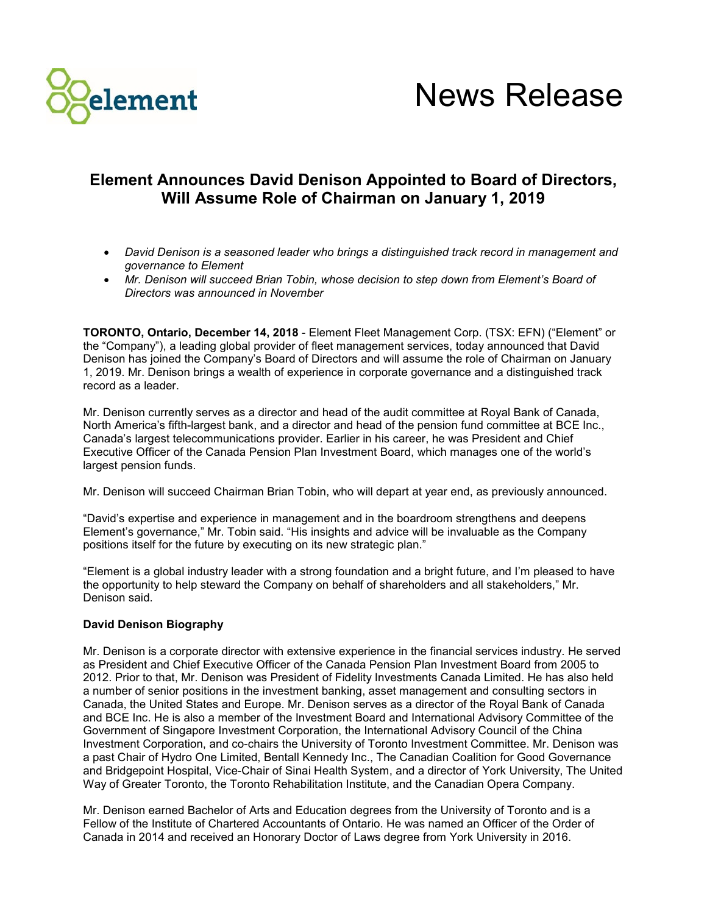

## **Element Announces David Denison Appointed to Board of Directors, Will Assume Role of Chairman on January 1, 2019**

- *David Denison is a seasoned leader who brings a distinguished track record in management and governance to Element*
- *Mr. Denison will succeed Brian Tobin, whose decision to step down from Element's Board of Directors was announced in November*

**TORONTO, Ontario, December 14, 2018** - Element Fleet Management Corp. (TSX: EFN) ("Element" or the "Company"), a leading global provider of fleet management services, today announced that David Denison has joined the Company's Board of Directors and will assume the role of Chairman on January 1, 2019. Mr. Denison brings a wealth of experience in corporate governance and a distinguished track record as a leader.

Mr. Denison currently serves as a director and head of the audit committee at Royal Bank of Canada, North America's fifth-largest bank, and a director and head of the pension fund committee at BCE Inc., Canada's largest telecommunications provider. Earlier in his career, he was President and Chief Executive Officer of the Canada Pension Plan Investment Board, which manages one of the world's largest pension funds.

Mr. Denison will succeed Chairman Brian Tobin, who will depart at year end, as previously announced.

"David's expertise and experience in management and in the boardroom strengthens and deepens Element's governance," Mr. Tobin said. "His insights and advice will be invaluable as the Company positions itself for the future by executing on its new strategic plan."

"Element is a global industry leader with a strong foundation and a bright future, and I'm pleased to have the opportunity to help steward the Company on behalf of shareholders and all stakeholders," Mr. Denison said.

## **David Denison Biography**

Mr. Denison is a corporate director with extensive experience in the financial services industry. He served as President and Chief Executive Officer of the Canada Pension Plan Investment Board from 2005 to 2012. Prior to that, Mr. Denison was President of Fidelity Investments Canada Limited. He has also held a number of senior positions in the investment banking, asset management and consulting sectors in Canada, the United States and Europe. Mr. Denison serves as a director of the Royal Bank of Canada and BCE Inc. He is also a member of the Investment Board and International Advisory Committee of the Government of Singapore Investment Corporation, the International Advisory Council of the China Investment Corporation, and co-chairs the University of Toronto Investment Committee. Mr. Denison was a past Chair of Hydro One Limited, Bentall Kennedy Inc., The Canadian Coalition for Good Governance and Bridgepoint Hospital, Vice-Chair of Sinai Health System, and a director of York University, The United Way of Greater Toronto, the Toronto Rehabilitation Institute, and the Canadian Opera Company.

Mr. Denison earned Bachelor of Arts and Education degrees from the University of Toronto and is a Fellow of the Institute of Chartered Accountants of Ontario. He was named an Officer of the Order of Canada in 2014 and received an Honorary Doctor of Laws degree from York University in 2016.